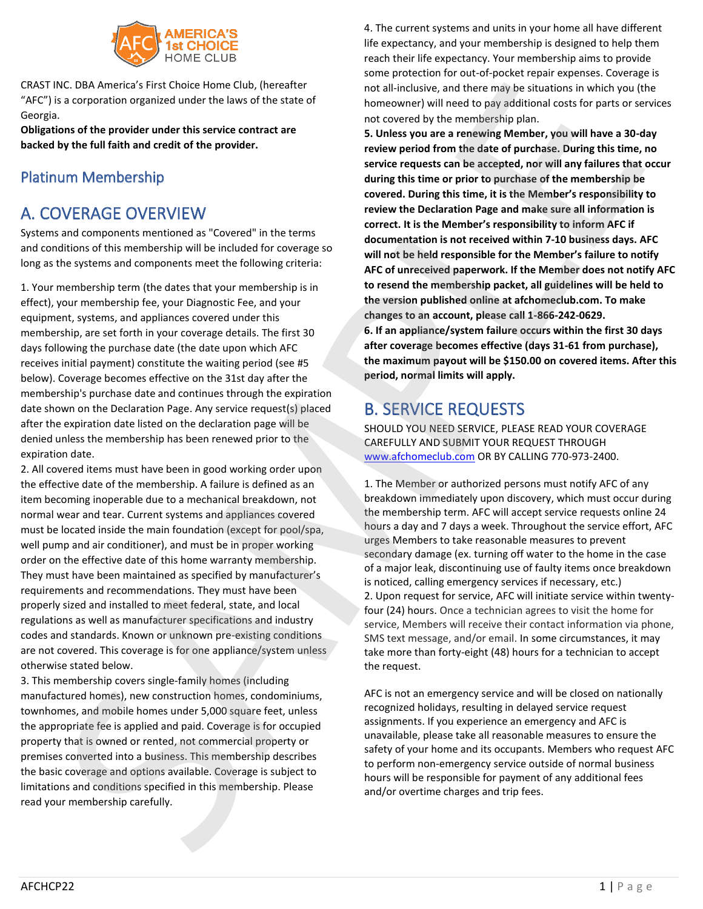

CRAST INC. DBA America's First Choice Home Club, (hereafter "AFC") is a corporation organized under the laws of the state of Georgia.

**Obligations of the provider under this service contract are backed by the full faith and credit of the provider.**

## Platinum Membership

## A. COVERAGE OVERVIEW

Systems and components mentioned as "Covered" in the terms and conditions of this membership will be included for coverage so long as the systems and components meet the following criteria:

1. Your membership term (the dates that your membership is in effect), your membership fee, your Diagnostic Fee, and your equipment, systems, and appliances covered under this membership, are set forth in your coverage details. The first 30 days following the purchase date (the date upon which AFC receives initial payment) constitute the waiting period (see #5 below). Coverage becomes effective on the 31st day after the membership's purchase date and continues through the expiration date shown on the Declaration Page. Any service request(s) placed after the expiration date listed on the declaration page will be denied unless the membership has been renewed prior to the expiration date.

2. All covered items must have been in good working order upon the effective date of the membership. A failure is defined as an item becoming inoperable due to a mechanical breakdown, not normal wear and tear. Current systems and appliances covered must be located inside the main foundation (except for pool/spa, well pump and air conditioner), and must be in proper working order on the effective date of this home warranty membership. They must have been maintained as specified by manufacturer's requirements and recommendations. They must have been properly sized and installed to meet federal, state, and local regulations as well as manufacturer specifications and industry codes and standards. Known or unknown pre-existing conditions are not covered. This coverage is for one appliance/system unless otherwise stated below.

3. This membership covers single-family homes (including manufactured homes), new construction homes, condominiums, townhomes, and mobile homes under 5,000 square feet, unless the appropriate fee is applied and paid. Coverage is for occupied property that is owned or rented, not commercial property or premises converted into a business. This membership describes the basic coverage and options available. Coverage is subject to limitations and conditions specified in this membership. Please read your membership carefully.

4. The current systems and units in your home all have different life expectancy, and your membership is designed to help them reach their life expectancy. Your membership aims to provide some protection for out-of-pocket repair expenses. Coverage is not all-inclusive, and there may be situations in which you (the homeowner) will need to pay additional costs for parts or services not covered by the membership plan.

**5. Unless you are a renewing Member, you will have a 30-day review period from the date of purchase. During this time, no service requests can be accepted, nor will any failures that occur during this time or prior to purchase of the membership be covered. During this time, it is the Member's responsibility to review the Declaration Page and make sure all information is correct. It is the Member's responsibility to inform AFC if documentation is not received within 7-10 business days. AFC will not be held responsible for the Member's failure to notify AFC of unreceived paperwork. If the Member does not notify AFC to resend the membership packet, all guidelines will be held to the version published online at afchomeclub.com. To make changes to an account, please call 1-866-242-0629. 6. If an appliance/system failure occurs within the first 30 days after coverage becomes effective (days 31-61 from purchase), the maximum payout will be \$150.00 on covered items. After this period, normal limits will apply.** An America's transfer and the total including, and the record in the state of the state of the state of the state of the state of the state of the state of the state of the state of the state of the state of the state of

## B. SERVICE REQUESTS

SHOULD YOU NEED SERVICE, PLEASE READ YOUR COVERAGE CAREFULLY AND SUBMIT YOUR REQUEST THROUGH www.afchomeclub.com OR BY CALLING 770-973-2400.

1. The Member or authorized persons must notify AFC of any breakdown immediately upon discovery, which must occur during the membership term. AFC will accept service requests online 24 hours a day and 7 days a week. Throughout the service effort, AFC urges Members to take reasonable measures to prevent secondary damage (ex. turning off water to the home in the case of a major leak, discontinuing use of faulty items once breakdown is noticed, calling emergency services if necessary, etc.) 2. Upon request for service, AFC will initiate service within twentyfour (24) hours. Once a technician agrees to visit the home for service, Members will receive their contact information via phone, SMS text message, and/or email. In some circumstances, it may take more than forty-eight (48) hours for a technician to accept the request.

AFC is not an emergency service and will be closed on nationally recognized holidays, resulting in delayed service request assignments. If you experience an emergency and AFC is unavailable, please take all reasonable measures to ensure the safety of your home and its occupants. Members who request AFC to perform non-emergency service outside of normal business hours will be responsible for payment of any additional fees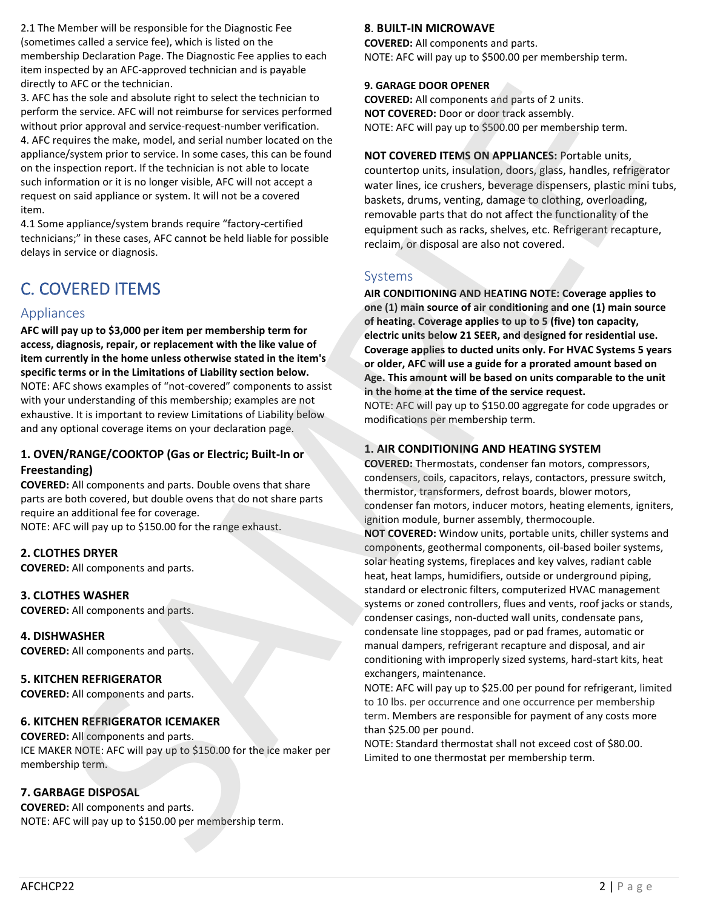2.1 The Member will be responsible for the Diagnostic Fee (sometimes called a service fee), which is listed on the membership Declaration Page. The Diagnostic Fee applies to each item inspected by an AFC-approved technician and is payable directly to AFC or the technician.

3. AFC has the sole and absolute right to select the technician to perform the service. AFC will not reimburse for services performed without prior approval and service-request-number verification. 4. AFC requires the make, model, and serial number located on the appliance/system prior to service. In some cases, this can be found on the inspection report. If the technician is not able to locate such information or it is no longer visible, AFC will not accept a request on said appliance or system. It will not be a covered item. Limited to the thermostat behaviour states and the thermostat per membership term.<br>
Limited to one the the the three couples are the three couples and the three couples are the three couples are the three couples are the

4.1 Some appliance/system brands require "factory-certified technicians;" in these cases, AFC cannot be held liable for possible delays in service or diagnosis.

# C. COVERED ITEMS

## Appliances

**AFC will pay up to \$3,000 per item per membership term for access, diagnosis, repair, or replacement with the like value of item currently in the home unless otherwise stated in the item's specific terms or in the Limitations of Liability section below.** NOTE: AFC shows examples of "not-covered" components to assist with your understanding of this membership; examples are not exhaustive. It is important to review Limitations of Liability below and any optional coverage items on your declaration page.

## **1. OVEN/RANGE/COOKTOP (Gas or Electric; Built-In or Freestanding)**

**COVERED:** All components and parts. Double ovens that share parts are both covered, but double ovens that do not share parts require an additional fee for coverage. NOTE: AFC will pay up to \$150.00 for the range exhaust.

**2. CLOTHES DRYER**

**COVERED:** All components and parts.

**3. CLOTHES WASHER COVERED:** All components and parts.

**4. DISHWASHER COVERED:** All components and parts.

**5. KITCHEN REFRIGERATOR COVERED:** All components and parts.

### **6. KITCHEN REFRIGERATOR ICEMAKER**

**COVERED:** All components and parts. ICE MAKER NOTE: AFC will pay up to \$150.00 for the ice maker per membership term.

## **7. GARBAGE DISPOSAL**

**COVERED:** All components and parts. NOTE: AFC will pay up to \$150.00 per membership term.

#### **8**. **BUILT-IN MICROWAVE**

**COVERED:** All components and parts. NOTE: AFC will pay up to \$500.00 per membership term.

#### **9. GARAGE DOOR OPENER**

**COVERED:** All components and parts of 2 units. **NOT COVERED:** Door or door track assembly. NOTE: AFC will pay up to \$500.00 per membership term.

**NOT COVERED ITEMS ON APPLIANCES:** Portable units, countertop units, insulation, doors, glass, handles, refrigerator water lines, ice crushers, beverage dispensers, plastic mini tubs, baskets, drums, venting, damage to clothing, overloading, removable parts that do not affect the functionality of the equipment such as racks, shelves, etc. Refrigerant recapture, reclaim, or disposal are also not covered.

## Systems

**AIR CONDITIONING AND HEATING NOTE: Coverage applies to one (1) main source of air conditioning and one (1) main source of heating. Coverage applies to up to 5 (five) ton capacity, electric units below 21 SEER, and designed for residential use. Coverage applies to ducted units only. For HVAC Systems 5 years or older, AFC will use a guide for a prorated amount based on Age. This amount will be based on units comparable to the unit in the home at the time of the service request.**

NOTE: AFC will pay up to \$150.00 aggregate for code upgrades or modifications per membership term.

## **1. AIR CONDITIONING AND HEATING SYSTEM**

**COVERED:** Thermostats, condenser fan motors, compressors, condensers, coils, capacitors, relays, contactors, pressure switch, thermistor, transformers, defrost boards, blower motors, condenser fan motors, inducer motors, heating elements, igniters, ignition module, burner assembly, thermocouple.

**NOT COVERED:** Window units, portable units, chiller systems and components, geothermal components, oil-based boiler systems, solar heating systems, fireplaces and key valves, radiant cable heat, heat lamps, humidifiers, outside or underground piping, standard or electronic filters, computerized HVAC management systems or zoned controllers, flues and vents, roof jacks or stands, condenser casings, non-ducted wall units, condensate pans, condensate line stoppages, pad or pad frames, automatic or manual dampers, refrigerant recapture and disposal, and air conditioning with improperly sized systems, hard-start kits, heat exchangers, maintenance. SAGRI the terminalism of the constraints of the constraints of the constraints of the constraints of the constraints of the constraints of the constraints of the constraints of the constraints of the constraints of the c

NOTE: AFC will pay up to \$25.00 per pound for refrigerant, limited to 10 lbs. per occurrence and one occurrence per membership term. Members are responsible for payment of any costs more than \$25.00 per pound.

NOTE: Standard thermostat shall not exceed cost of \$80.00.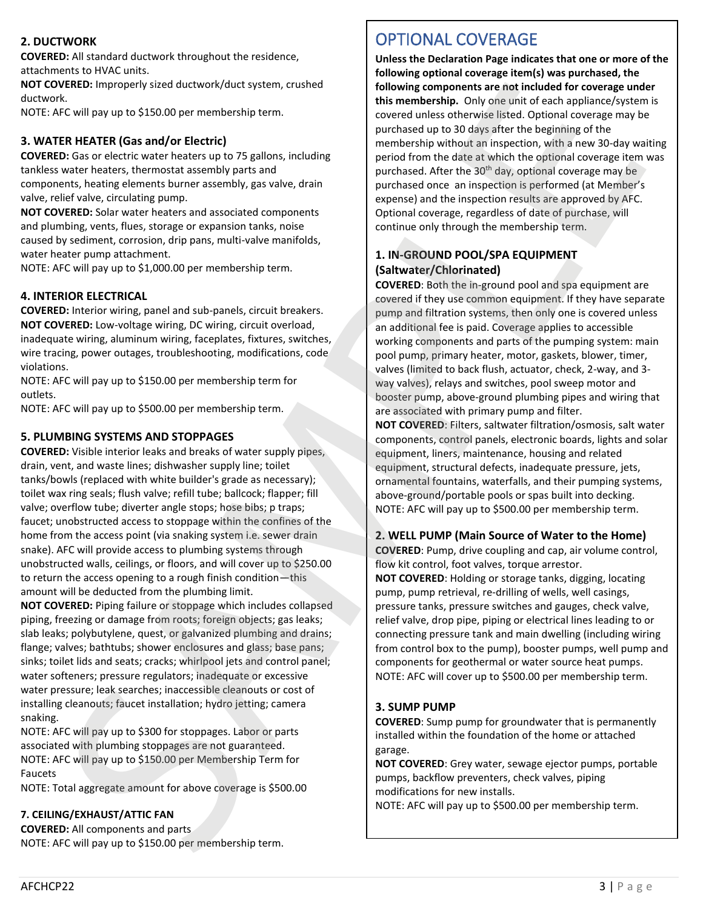## **2. DUCTWORK**

**COVERED:** All standard ductwork throughout the residence, attachments to HVAC units.

**NOT COVERED:** Improperly sized ductwork/duct system, crushed ductwork.

NOTE: AFC will pay up to \$150.00 per membership term.

## **3. WATER HEATER (Gas and/or Electric)**

**COVERED:** Gas or electric water heaters up to 75 gallons, including tankless water heaters, thermostat assembly parts and components, heating elements burner assembly, gas valve, drain valve, relief valve, circulating pump.

**NOT COVERED:** Solar water heaters and associated components and plumbing, vents, flues, storage or expansion tanks, noise caused by sediment, corrosion, drip pans, multi-valve manifolds, water heater pump attachment.

NOTE: AFC will pay up to \$1,000.00 per membership term.

### **4. INTERIOR ELECTRICAL**

**COVERED:** Interior wiring, panel and sub-panels, circuit breakers. **NOT COVERED:** Low-voltage wiring, DC wiring, circuit overload, inadequate wiring, aluminum wiring, faceplates, fixtures, switches, wire tracing, power outages, troubleshooting, modifications, code violations.

NOTE: AFC will pay up to \$150.00 per membership term for outlets.

NOTE: AFC will pay up to \$500.00 per membership term.

### **5. PLUMBING SYSTEMS AND STOPPAGES**

**COVERED:** Visible interior leaks and breaks of water supply pipes, drain, vent, and waste lines; dishwasher supply line; toilet tanks/bowls (replaced with white builder's grade as necessary); toilet wax ring seals; flush valve; refill tube; ballcock; flapper; fill valve; overflow tube; diverter angle stops; hose bibs; p traps; faucet; unobstructed access to stoppage within the confines of the home from the access point (via snaking system i.e. sewer drain snake). AFC will provide access to plumbing systems through unobstructed walls, ceilings, or floors, and will cover up to \$250.00 to return the access opening to a rough finish condition—this amount will be deducted from the plumbing limit. NOT CONTEND interopoly and discussions are discussions are also the state of the control interiments are also the state of the state of the state of the state of the state of the state of the state of the state of the stat VERTURE INTERFERITURE INTERFERITURE INTERFERITURE INTERFERITURE INTERFERITURE INTERFERITURE INTERFERITURE INTERFERITURE INTERFERITURE INTERFERITURE INTERFERITURE INTERFERITURE INTERFERITURE INTERFERITURE INTERFERITURE INT

**NOT COVERED:** Piping failure or stoppage which includes collapsed piping, freezing or damage from roots; foreign objects; gas leaks; slab leaks; polybutylene, quest, or galvanized plumbing and drains; flange; valves; bathtubs; shower enclosures and glass; base pans; sinks; toilet lids and seats; cracks; whirlpool jets and control panel; water softeners; pressure regulators; inadequate or excessive water pressure; leak searches; inaccessible cleanouts or cost of installing cleanouts; faucet installation; hydro jetting; camera snaking.

NOTE: AFC will pay up to \$300 for stoppages. Labor or parts associated with plumbing stoppages are not guaranteed. NOTE: AFC will pay up to \$150.00 per Membership Term for Faucets

NOTE: Total aggregate amount for above coverage is \$500.00

## **7. CEILING/EXHAUST/ATTIC FAN**

**COVERED:** All components and parts NOTE: AFC will pay up to \$150.00 per membership term.

# OPTIONAL COVERAGE

**Unless the Declaration Page indicates that one or more of the following optional coverage item(s) was purchased, the following components are not included for coverage under this membership.** Only one unit of each appliance/system is covered unless otherwise listed. Optional coverage may be purchased up to 30 days after the beginning of the membership without an inspection, with a new 30-day waiting period from the date at which the optional coverage item was purchased. After the 30<sup>th</sup> day, optional coverage may be purchased once an inspection is performed (at Member's expense) and the inspection results are approved by AFC. Optional coverage, regardless of date of purchase, will continue only through the membership term.

## **1. IN-GROUND POOL/SPA EQUIPMENT (Saltwater/Chlorinated)**

**COVERED**: Both the in-ground pool and spa equipment are covered if they use common equipment. If they have separate pump and filtration systems, then only one is covered unless an additional fee is paid. Coverage applies to accessible working components and parts of the pumping system: main pool pump, primary heater, motor, gaskets, blower, timer, valves (limited to back flush, actuator, check, 2-way, and 3 way valves), relays and switches, pool sweep motor and booster pump, above-ground plumbing pipes and wiring that are associated with primary pump and filter.

**NOT COVERED**: Filters, saltwater filtration/osmosis, salt water components, control panels, electronic boards, lights and solar equipment, liners, maintenance, housing and related equipment, structural defects, inadequate pressure, jets, ornamental fountains, waterfalls, and their pumping systems, above-ground/portable pools or spas built into decking. NOTE: AFC will pay up to \$500.00 per membership term.

#### **2. WELL PUMP (Main Source of Water to the Home)**

**COVERED**: Pump, drive coupling and cap, air volume control, flow kit control, foot valves, torque arrestor. **NOT COVERED**: Holding or storage tanks, digging, locating pump, pump retrieval, re-drilling of wells, well casings, pressure tanks, pressure switches and gauges, check valve, relief valve, drop pipe, piping or electrical lines leading to or connecting pressure tank and main dwelling (including wiring from control box to the pump), booster pumps, well pump and components for geothermal or water source heat pumps. NOTE: AFC will cover up to \$500.00 per membership term.

### **3. SUMP PUMP**

**COVERED**: Sump pump for groundwater that is permanently installed within the foundation of the home or attached garage.

**NOT COVERED**: Grey water, sewage ejector pumps, portable pumps, backflow preventers, check valves, piping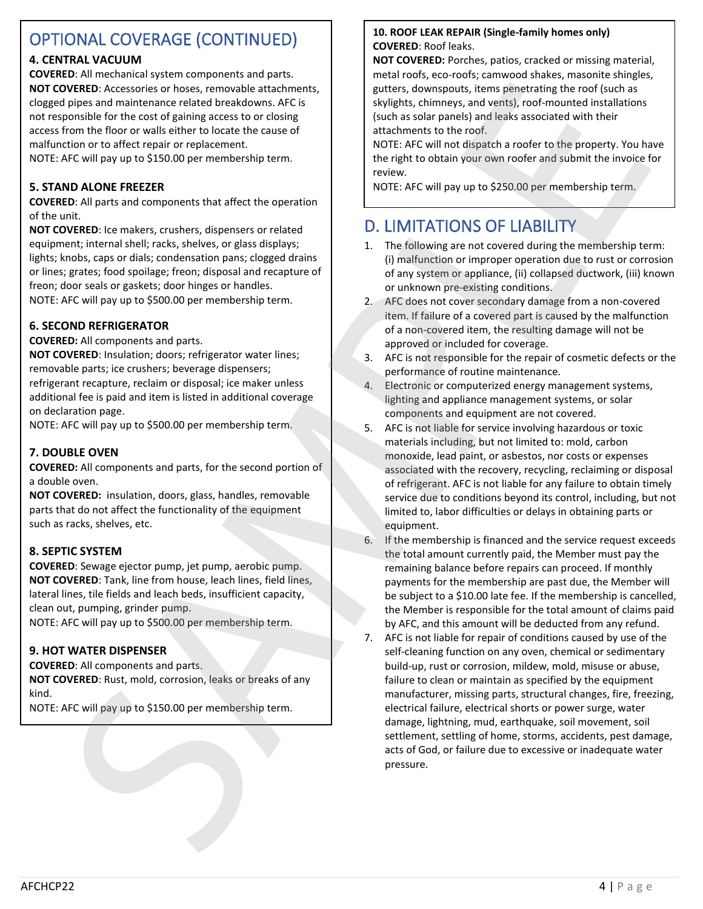# OPTIONAL COVERAGE (CONTINUED)

## **4. CENTRAL VACUUM**

**COVERED**: All mechanical system components and parts. **NOT COVERED**: Accessories or hoses, removable attachments, clogged pipes and maintenance related breakdowns. AFC is not responsible for the cost of gaining access to or closing access from the floor or walls either to locate the cause of malfunction or to affect repair or replacement. NOTE: AFC will pay up to \$150.00 per membership term.

# **5. STAND ALONE FREEZER**

**COVERED**: All parts and components that affect the operation of the unit.

**NOT COVERED**: Ice makers, crushers, dispensers or related equipment; internal shell; racks, shelves, or glass displays; lights; knobs, caps or dials; condensation pans; clogged drains or lines; grates; food spoilage; freon; disposal and recapture of freon; door seals or gaskets; door hinges or handles. NOTE: AFC will pay up to \$500.00 per membership term.

### **6. SECOND REFRIGERATOR**

**COVERED:** All components and parts.

**NOT COVERED**: Insulation; doors; refrigerator water lines; removable parts; ice crushers; beverage dispensers; refrigerant recapture, reclaim or disposal; ice maker unless additional fee is paid and item is listed in additional coverage on declaration page.

NOTE: AFC will pay up to \$500.00 per membership term.

### **7. DOUBLE OVEN**

**COVERED:** All components and parts, for the second portion of a double oven.

**NOT COVERED:** insulation, doors, glass, handles, removable parts that do not affect the functionality of the equipment such as racks, shelves, etc.

### **8. SEPTIC SYSTEM**

**COVERED**: Sewage ejector pump, jet pump, aerobic pump. **NOT COVERED**: Tank, line from house, leach lines, field lines, lateral lines, tile fields and leach beds, insufficient capacity, clean out, pumping, grinder pump.

NOTE: AFC will pay up to \$500.00 per membership term.

### **9. HOT WATER DISPENSER**

**COVERED**: All components and parts. **NOT COVERED**: Rust, mold, corrosion, leaks or breaks of any kind.

NOTE: AFC will pay up to \$150.00 per membership term.

#### **10. ROOF LEAK REPAIR (Single-family homes only) COVERED**: Roof leaks.

**NOT COVERED:** Porches, patios, cracked or missing material, metal roofs, eco-roofs; camwood shakes, masonite shingles, gutters, downspouts, items penetrating the roof (such as skylights, chimneys, and vents), roof-mounted installations (such as solar panels) and leaks associated with their attachments to the roof.

NOTE: AFC will not dispatch a roofer to the property. You have the right to obtain your own roofer and submit the invoice for review.

# D. LIMITATIONS OF LIABILITY

- 1. The following are not covered during the membership term: (i) malfunction or improper operation due to rust or corrosion of any system or appliance, (ii) collapsed ductwork, (iii) known or unknown pre-existing conditions.
- 2. AFC does not cover secondary damage from a non-covered item. If failure of a covered part is caused by the malfunction of a non-covered item, the resulting damage will not be approved or included for coverage.
- 3. AFC is not responsible for the repair of cosmetic defects or the performance of routine maintenance.
- 4. Electronic or computerized energy management systems, lighting and appliance management systems, or solar components and equipment are not covered.
- 5. AFC is not liable for service involving hazardous or toxic materials including, but not limited to: mold, carbon monoxide, lead paint, or asbestos, nor costs or expenses associated with the recovery, recycling, reclaiming or disposal of refrigerant. AFC is not liable for any failure to obtain timely service due to conditions beyond its control, including, but not limited to, labor difficulties or delays in obtaining parts or equipment.
- 6. If the membership is financed and the service request exceeds the total amount currently paid, the Member must pay the remaining balance before repairs can proceed. If monthly payments for the membership are past due, the Member will be subject to a \$10.00 late fee. If the membership is cancelled, the Member is responsible for the total amount of claims paid by AFC, and this amount will be deducted from any refund.
- 7. AFC is not liable for repair of conditions caused by use of the self-cleaning function on any oven, chemical or sedimentary build-up, rust or corrosion, mildew, mold, misuse or abuse, failure to clean or maintain as specified by the equipment manufacturer, missing parts, structural changes, fire, freezing, electrical failure, electrical shorts or power surge, water damage, lightning, mud, earthquake, soil movement, soil settlement, settling of home, storms, accidents, pest damage, acts of God, or failure due to excessive or inadequate water pressure. NOT CONSERV (A conservation by the specified state into the specified state of the specified state of the specified state of the specified state of the specified state of the specified state of the specified state of the **NOW A decorate them, i.m.** in the second interaction and interaction and interaction and interaction and interaction and interaction and interaction and interaction and interaction and interaction and interaction and int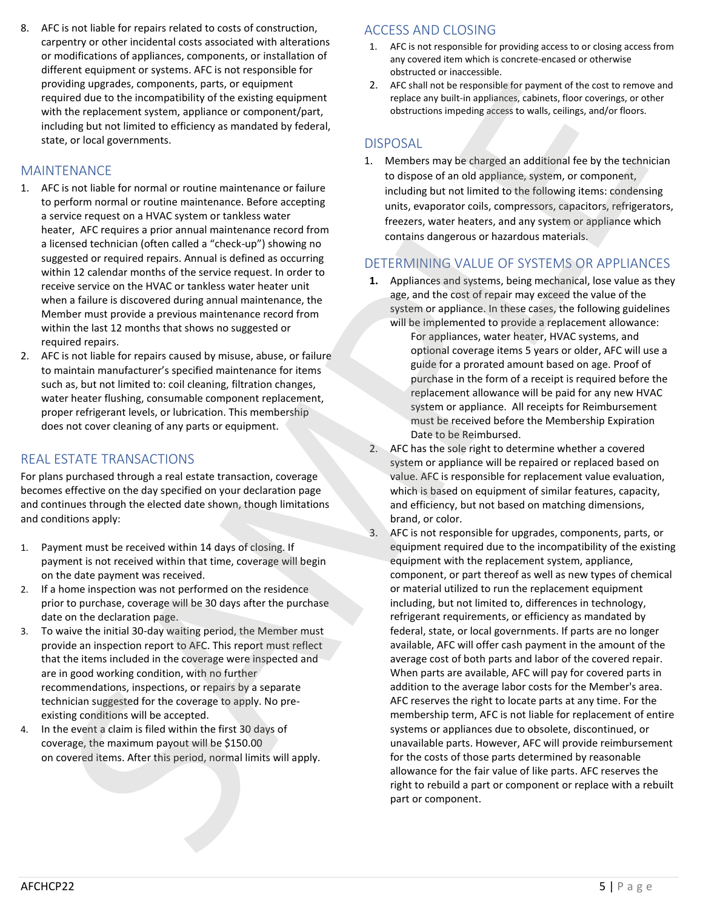## MAINTENANCE

- 1. AFC is not liable for normal or routine maintenance or failure to perform normal or routine maintenance. Before accepting a service request on a HVAC system or tankless water heater, AFC requires a prior annual maintenance record from a licensed technician (often called a "check-up") showing no suggested or required repairs. Annual is defined as occurring within 12 calendar months of the service request. In order to receive service on the HVAC or tankless water heater unit when a failure is discovered during annual maintenance, the Member must provide a previous maintenance record from within the last 12 months that shows no suggested or required repairs.
- 2. AFC is not liable for repairs caused by misuse, abuse, or failure to maintain manufacturer's specified maintenance for items such as, but not limited to: coil cleaning, filtration changes, water heater flushing, consumable component replacement, proper refrigerant levels, or lubrication. This membership does not cover cleaning of any parts or equipment.

## REAL ESTATE TRANSACTIONS

For plans purchased through a real estate transaction, coverage becomes effective on the day specified on your declaration page and continues through the elected date shown, though limitations and conditions apply:

- 1. Payment must be received within 14 days of closing. If payment is not received within that time, coverage will begin on the date payment was received.
- 2. If a home inspection was not performed on the residence prior to purchase, coverage will be 30 days after the purchase date on the declaration page.
- 3. To waive the initial 30-day waiting period, the Member must provide an inspection report to AFC. This report must reflect that the items included in the coverage were inspected and are in good working condition, with no further recommendations, inspections, or repairs by a separate technician suggested for the coverage to apply. No preexisting conditions will be accepted.
- 4. In the event a claim is filed within the first 30 days of coverage, the maximum payout will be \$150.00 on covered items. After this period, normal limits will apply.

## ACCESS AND CLOSING

- 1. AFC is not responsible for providing access to or closing access from any covered item which is concrete-encased or otherwise obstructed or inaccessible.
- 2. AFC shall not be responsible for payment of the cost to remove and replace any built-in appliances, cabinets, floor coverings, or other obstructions impeding access to walls, ceilings, and/or floors.

## DISPOSAL

1. Members may be charged an additional fee by the technician to dispose of an old appliance, system, or component, including but not limited to the following items: condensing units, evaporator coils, compressors, capacitors, refrigerators, freezers, water heaters, and any system or appliance which contains dangerous or hazardous materials.

## DETERMINING VALUE OF SYSTEMS OR APPLIANCES

- **1.** Appliances and systems, being mechanical, lose value as they age, and the cost of repair may exceed the value of the system or appliance. In these cases, the following guidelines
	- will be implemented to provide a replacement allowance: For appliances, water heater, HVAC systems, and optional coverage items 5 years or older, AFC will use a guide for a prorated amount based on age. Proof of purchase in the form of a receipt is required before the replacement allowance will be paid for any new HVAC system or appliance. All receipts for Reimbursement must be received before the Membership Expiration Date to be Reimbursed.
- 2. AFC has the sole right to determine whether a covered system or appliance will be repaired or replaced based on value. AFC is responsible for replacement value evaluation, which is based on equipment of similar features, capacity, and efficiency, but not based on matching dimensions, brand, or color.
- 3. AFC is not responsible for upgrades, components, parts, or equipment required due to the incompatibility of the existing equipment with the replacement system, appliance, component, or part thereof as well as new types of chemical or material utilized to run the replacement equipment including, but not limited to, differences in technology, refrigerant requirements, or efficiency as mandated by federal, state, or local governments. If parts are no longer available, AFC will offer cash payment in the amount of the average cost of both parts and labor of the covered repair. When parts are available, AFC will pay for covered parts in addition to the average labor costs for the Member's area. AFC reserves the right to locate parts at any time. For the membership term, AFC is not liable for replacement of entire systems or appliances due to obsolete, discontinued, or unavailable parts. However, AFC will provide reimbursement for the costs of those parts determined by reasonable allowance for the fair value of like parts. AFC reserves the right to rebuild a part or component or replace with a rebuilt part or component. Shirtle course on the transfer of the end of the state of the end of the state of the end of the state of the state of the state of the state of the state of the state of the state of the state of the state of the state o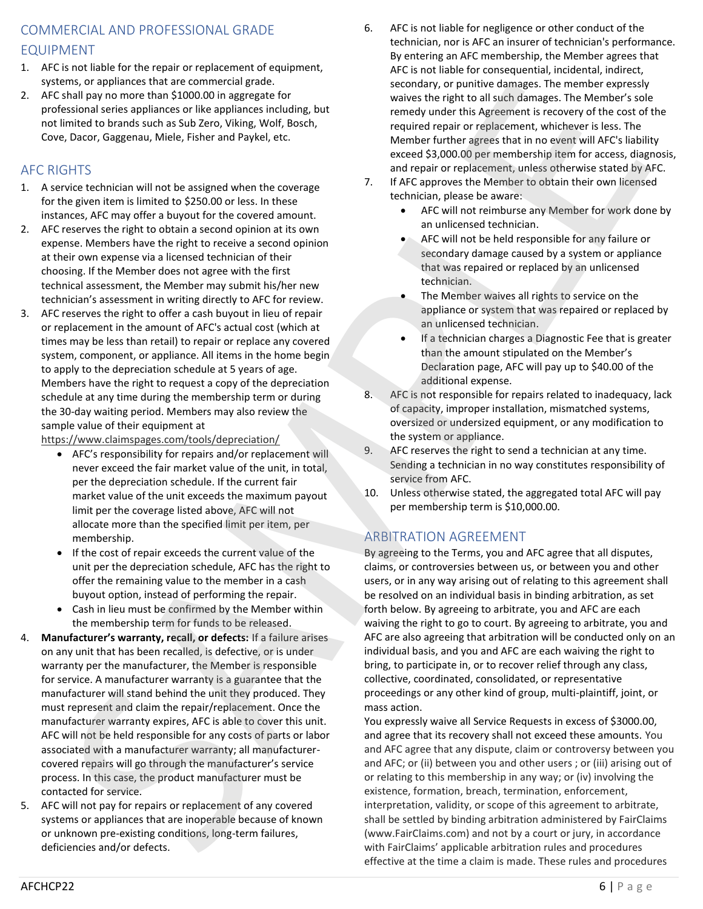## COMMERCIAL AND PROFESSIONAL GRADE EQUIPMENT

- 1. AFC is not liable for the repair or replacement of equipment, systems, or appliances that are commercial grade.
- 2. AFC shall pay no more than \$1000.00 in aggregate for professional series appliances or like appliances including, but not limited to brands such as Sub Zero, Viking, Wolf, Bosch, Cove, Dacor, Gaggenau, Miele, Fisher and Paykel, etc.

## AFC RIGHTS

- 1. A service technician will not be assigned when the coverage for the given item is limited to \$250.00 or less. In these instances, AFC may offer a buyout for the covered amount.
- 2. AFC reserves the right to obtain a second opinion at its own expense. Members have the right to receive a second opinion at their own expense via a licensed technician of their choosing. If the Member does not agree with the first technical assessment, the Member may submit his/her new technician's assessment in writing directly to AFC for review.
- 3. AFC reserves the right to offer a cash buyout in lieu of repair or replacement in the amount of AFC's actual cost (which at times may be less than retail) to repair or replace any covered system, component, or appliance. All items in the home begin to apply to the depreciation schedule at 5 years of age. Members have the right to request a copy of the depreciation schedule at any time during the membership term or during the 30-day waiting period. Members may also review the sample value of their equipment at

https://www.claimspages.com/tools/depreciation/

- AFC's responsibility for repairs and/or replacement will never exceed the fair market value of the unit, in total, per the depreciation schedule. If the current fair market value of the unit exceeds the maximum payout limit per the coverage listed above, AFC will not allocate more than the specified limit per item, per membership.
- If the cost of repair exceeds the current value of the unit per the depreciation schedule, AFC has the right to offer the remaining value to the member in a cash buyout option, instead of performing the repair.
- Cash in lieu must be confirmed by the Member within the membership term for funds to be released.
- 4. **Manufacturer's warranty, recall, or defects:** If a failure arises on any unit that has been recalled, is defective, or is under warranty per the manufacturer, the Member is responsible for service. A manufacturer warranty is a guarantee that the manufacturer will stand behind the unit they produced. They must represent and claim the repair/replacement. Once the manufacturer warranty expires, AFC is able to cover this unit. AFC will not be held responsible for any costs of parts or labor associated with a manufacturer warranty; all manufacturercovered repairs will go through the manufacturer's service process. In this case, the product manufacturer must be contacted for service. y formula means of a state of the state of the state of the state of the state of the state of the state of the state of the state of the state of the state of the state of the state of the state of the state of the stat
	- 5. AFC will not pay for repairs or replacement of any covered systems or appliances that are inoperable because of known or unknown pre-existing conditions, long-term failures, deficiencies and/or defects.
- 6. AFC is not liable for negligence or other conduct of the technician, nor is AFC an insurer of technician's performance. By entering an AFC membership, the Member agrees that AFC is not liable for consequential, incidental, indirect, secondary, or punitive damages. The member expressly waives the right to all such damages. The Member's sole remedy under this Agreement is recovery of the cost of the required repair or replacement, whichever is less. The Member further agrees that in no event will AFC's liability exceed \$3,000.00 per membership item for access, diagnosis, and repair or replacement, unless otherwise stated by AFC.
- 7. If AFC approves the Member to obtain their own licensed technician, please be aware:
	- AFC will not reimburse any Member for work done by an unlicensed technician.
	- AFC will not be held responsible for any failure or secondary damage caused by a system or appliance that was repaired or replaced by an unlicensed technician.
	- The Member waives all rights to service on the appliance or system that was repaired or replaced by an unlicensed technician.
	- If a technician charges a Diagnostic Fee that is greater than the amount stipulated on the Member's Declaration page, AFC will pay up to \$40.00 of the additional expense.
- 8. AFC is not responsible for repairs related to inadequacy, lack of capacity, improper installation, mismatched systems, oversized or undersized equipment, or any modification to the system or appliance.
- 9. AFC reserves the right to send a technician at any time. Sending a technician in no way constitutes responsibility of service from AFC.
- 10. Unless otherwise stated, the aggregated total AFC will pay per membership term is \$10,000.00.

## ARBITRATION AGREEMENT

By agreeing to the Terms, you and AFC agree that all disputes, claims, or controversies between us, or between you and other users, or in any way arising out of relating to this agreement shall be resolved on an individual basis in binding arbitration, as set forth below. By agreeing to arbitrate, you and AFC are each waiving the right to go to court. By agreeing to arbitrate, you and AFC are also agreeing that arbitration will be conducted only on an individual basis, and you and AFC are each waiving the right to bring, to participate in, or to recover relief through any class, collective, coordinated, consolidated, or representative proceedings or any other kind of group, multi-plaintiff, joint, or mass action. My. One and the schemarist and the schemarist and the schemarist and the schemarist and the schemarist and the schemarist and the schemarist and the schemarist and the schemarist and the schemarist and the schemarist and

You expressly waive all Service Requests in excess of \$3000.00, and agree that its recovery shall not exceed these amounts. You and AFC agree that any dispute, claim or controversy between you and AFC; or (ii) between you and other users ; or (iii) arising out of or relating to this membership in any way; or (iv) involving the existence, formation, breach, termination, enforcement, interpretation, validity, or scope of this agreement to arbitrate, shall be settled by binding arbitration administered by FairClaims (www.FairClaims.com) and not by a court or jury, in accordance effective at the time a claim is made. These rules and procedures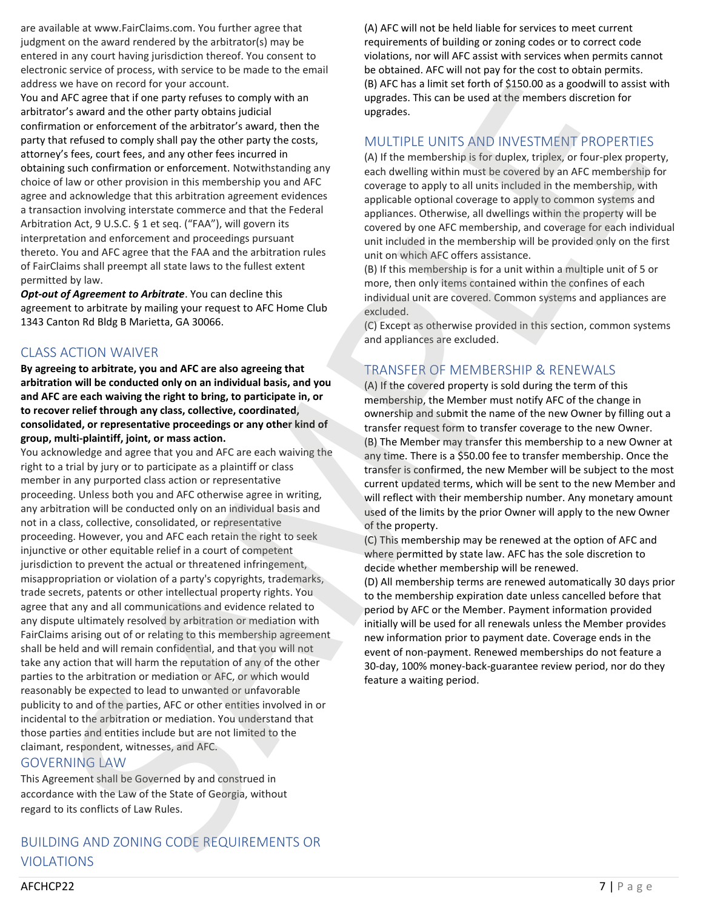are available at www.FairClaims.com. You further agree that judgment on the award rendered by the arbitrator(s) may be entered in any court having jurisdiction thereof. You consent to electronic service of process, with service to be made to the email address we have on record for your account.

You and AFC agree that if one party refuses to comply with an arbitrator's award and the other party obtains judicial confirmation or enforcement of the arbitrator's award, then the party that refused to comply shall pay the other party the costs, attorney's fees, court fees, and any other fees incurred in obtaining such confirmation or enforcement. Notwithstanding any choice of law or other provision in this membership you and AFC agree and acknowledge that this arbitration agreement evidences a transaction involving interstate commerce and that the Federal Arbitration Act, 9 U.S.C. § 1 et seq. ("FAA"), will govern its interpretation and enforcement and proceedings pursuant thereto. You and AFC agree that the FAA and the arbitration rules of FairClaims shall preempt all state laws to the fullest extent permitted by law.

*Opt-out of Agreement to Arbitrate*. You can decline this agreement to arbitrate by mailing your request to AFC Home Club 1343 Canton Rd Bldg B Marietta, GA 30066.

## CLASS ACTION WAIVER

**By agreeing to arbitrate, you and AFC are also agreeing that arbitration will be conducted only on an individual basis, and you and AFC are each waiving the right to bring, to participate in, or to recover relief through any class, collective, coordinated, consolidated, or representative proceedings or any other kind of group, multi-plaintiff, joint, or mass action.**

You acknowledge and agree that you and AFC are each waiving the right to a trial by jury or to participate as a plaintiff or class member in any purported class action or representative proceeding. Unless both you and AFC otherwise agree in writing, any arbitration will be conducted only on an individual basis and not in a class, collective, consolidated, or representative proceeding. However, you and AFC each retain the right to seek injunctive or other equitable relief in a court of competent jurisdiction to prevent the actual or threatened infringement, misappropriation or violation of a party's copyrights, trademarks, trade secrets, patents or other intellectual property rights. You agree that any and all communications and evidence related to any dispute ultimately resolved by arbitration or mediation with FairClaims arising out of or relating to this membership agreement shall be held and will remain confidential, and that you will not take any action that will harm the reputation of any of the other parties to the arbitration or mediation or AFC, or which would reasonably be expected to lead to unwanted or unfavorable publicity to and of the parties, AFC or other entities involved in or incidental to the arbitration or mediation. You understand that those parties and entities include but are not limited to the claimant, respondent, witnesses, and AFC. signations we have on record for your second into a strengthenia to the K-1 based in the strengthenia and the strengthenia and the strengthenia and the strengthenia and the strengthenia and the strengthenia and the streng es based on the same of the same of the same of the same in the based of state is the same of state of the same of the same of the same of the same of the same of the same of the same of the same of the same of the same o

## GOVERNING LAW

This Agreement shall be Governed by and construed in accordance with the Law of the State of Georgia, without regard to its conflicts of Law Rules.

## BUILDING AND ZONING CODE REQUIREMENTS OR VIOLATIONS

(A) AFC will not be held liable for services to meet current requirements of building or zoning codes or to correct code violations, nor will AFC assist with services when permits cannot be obtained. AFC will not pay for the cost to obtain permits. (B) AFC has a limit set forth of \$150.00 as a goodwill to assist with upgrades. This can be used at the members discretion for upgrades.

## MULTIPLE UNITS AND INVESTMENT PROPERTIES

(A) If the membership is for duplex, triplex, or four-plex property, each dwelling within must be covered by an AFC membership for coverage to apply to all units included in the membership, with applicable optional coverage to apply to common systems and appliances. Otherwise, all dwellings within the property will be covered by one AFC membership, and coverage for each individual unit included in the membership will be provided only on the first unit on which AFC offers assistance.

(B) If this membership is for a unit within a multiple unit of 5 or more, then only items contained within the confines of each individual unit are covered. Common systems and appliances are excluded.

(C) Except as otherwise provided in this section, common systems and appliances are excluded.

## TRANSFER OF MEMBERSHIP & RENEWALS

(A) If the covered property is sold during the term of this membership, the Member must notify AFC of the change in ownership and submit the name of the new Owner by filling out a transfer request form to transfer coverage to the new Owner. (B) The Member may transfer this membership to a new Owner at any time. There is a \$50.00 fee to transfer membership. Once the transfer is confirmed, the new Member will be subject to the most current updated terms, which will be sent to the new Member and will reflect with their membership number. Any monetary amount used of the limits by the prior Owner will apply to the new Owner of the property.

(C) This membership may be renewed at the option of AFC and where permitted by state law. AFC has the sole discretion to decide whether membership will be renewed.

(D) All membership terms are renewed automatically 30 days prior to the membership expiration date unless cancelled before that period by AFC or the Member. Payment information provided initially will be used for all renewals unless the Member provides new information prior to payment date. Coverage ends in the event of non-payment. Renewed memberships do not feature a 30-day, 100% money-back-guarantee review period, nor do they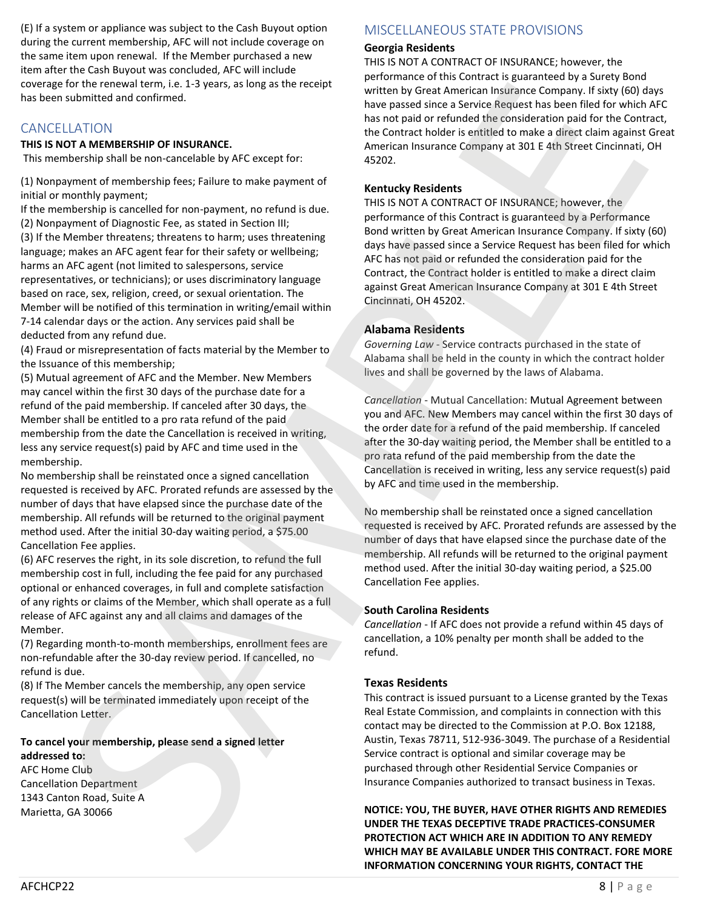(E) If a system or appliance was subject to the Cash Buyout option during the current membership, AFC will not include coverage on the same item upon renewal. If the Member purchased a new item after the Cash Buyout was concluded, AFC will include coverage for the renewal term, i.e. 1-3 years, as long as the receipt has been submitted and confirmed.

## CANCELLATION

### **THIS IS NOT A MEMBERSHIP OF INSURANCE.**

This membership shall be non-cancelable by AFC except for:

(1) Nonpayment of membership fees; Failure to make payment of initial or monthly payment;

If the membership is cancelled for non-payment, no refund is due. (2) Nonpayment of Diagnostic Fee, as stated in Section III; (3) If the Member threatens; threatens to harm; uses threatening language; makes an AFC agent fear for their safety or wellbeing; harms an AFC agent (not limited to salespersons, service representatives, or technicians); or uses discriminatory language based on race, sex, religion, creed, or sexual orientation. The Member will be notified of this termination in writing/email within 7-14 calendar days or the action. Any services paid shall be deducted from any refund due. Context for the energy of the system in the system of the system of the system of the system of the system of the system of the system of the system of the system of the system of the system of the system of the system of For the terms in ent. In 2-3 by the term is long as the entroid with the discharged constraints are not as the same paid at the terms in the same paid at the same paid at the same paid at the same paid at the same paid at

(4) Fraud or misrepresentation of facts material by the Member to the Issuance of this membership;

(5) Mutual agreement of AFC and the Member. New Members may cancel within the first 30 days of the purchase date for a refund of the paid membership. If canceled after 30 days, the Member shall be entitled to a pro rata refund of the paid membership from the date the Cancellation is received in writing, less any service request(s) paid by AFC and time used in the membership.

No membership shall be reinstated once a signed cancellation requested is received by AFC. Prorated refunds are assessed by the number of days that have elapsed since the purchase date of the membership. All refunds will be returned to the original payment method used. After the initial 30-day waiting period, a \$75.00 Cancellation Fee applies.

(6) AFC reserves the right, in its sole discretion, to refund the full membership cost in full, including the fee paid for any purchased optional or enhanced coverages, in full and complete satisfaction of any rights or claims of the Member, which shall operate as a full release of AFC against any and all claims and damages of the Member.

(7) Regarding month-to-month memberships, enrollment fees are non-refundable after the 30-day review period. If cancelled, no refund is due.

(8) If The Member cancels the membership, any open service request(s) will be terminated immediately upon receipt of the Cancellation Letter.

#### **To cancel your membership, please send a signed letter addressed to:**

AFC Home Club Cancellation Department 1343 Canton Road, Suite A Marietta, GA 30066

## MISCELLANEOUS STATE PROVISIONS

## **Georgia Residents**

THIS IS NOT A CONTRACT OF INSURANCE; however, the performance of this Contract is guaranteed by a Surety Bond written by Great American Insurance Company. If sixty (60) days have passed since a Service Request has been filed for which AFC has not paid or refunded the consideration paid for the Contract, the Contract holder is entitled to make a direct claim against Great American Insurance Company at 301 E 4th Street Cincinnati, OH 45202.

## **Kentucky Residents**

THIS IS NOT A CONTRACT OF INSURANCE; however, the performance of this Contract is guaranteed by a Performance Bond written by Great American Insurance Company. If sixty (60) days have passed since a Service Request has been filed for which AFC has not paid or refunded the consideration paid for the Contract, the Contract holder is entitled to make a direct claim against Great American Insurance Company at 301 E 4th Street Cincinnati, OH 45202.

## **Alabama Residents**

*Governing Law* - Service contracts purchased in the state of Alabama shall be held in the county in which the contract holder lives and shall be governed by the laws of Alabama.

*Cancellation* - Mutual Cancellation: Mutual Agreement between you and AFC. New Members may cancel within the first 30 days of the order date for a refund of the paid membership. If canceled after the 30-day waiting period, the Member shall be entitled to a pro rata refund of the paid membership from the date the Cancellation is received in writing, less any service request(s) paid by AFC and time used in the membership.

No membership shall be reinstated once a signed cancellation requested is received by AFC. Prorated refunds are assessed by the number of days that have elapsed since the purchase date of the membership. All refunds will be returned to the original payment method used. After the initial 30-day waiting period, a \$25.00 Cancellation Fee applies.

### **South Carolina Residents**

*Cancellation* - If AFC does not provide a refund within 45 days of cancellation, a 10% penalty per month shall be added to the refund.

## **Texas Residents**

This contract is issued pursuant to a License granted by the Texas Real Estate Commission, and complaints in connection with this contact may be directed to the Commission at P.O. Box 12188, Austin, Texas 78711, 512-936-3049. The purchase of a Residential Service contract is optional and similar coverage may be purchased through other Residential Service Companies or Insurance Companies authorized to transact business in Texas.

**NOTICE: YOU, THE BUYER, HAVE OTHER RIGHTS AND REMEDIES UNDER THE TEXAS DECEPTIVE TRADE PRACTICES-CONSUMER PROTECTION ACT WHICH ARE IN ADDITION TO ANY REMEDY INFORMATION CONCERNING YOUR RIGHTS, CONTACT THE**